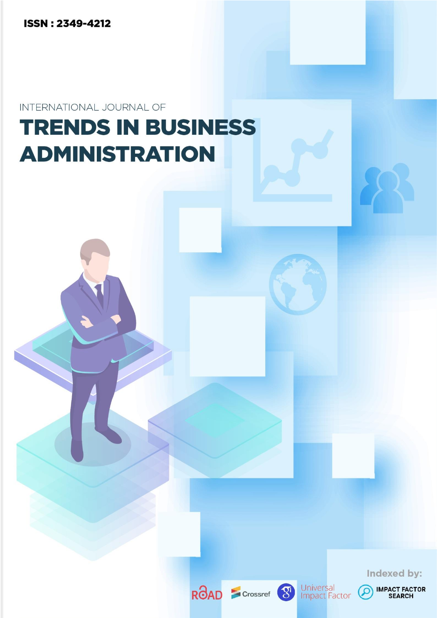**ISSN: 2349-4212** 

INTERNATIONAL JOURNAL OF

# **TRENDS IN BUSINESS ADMINISTRATION**

Indexed by:







 $\Omega$ 

**IMPACT FACTOR**<br>SEARCH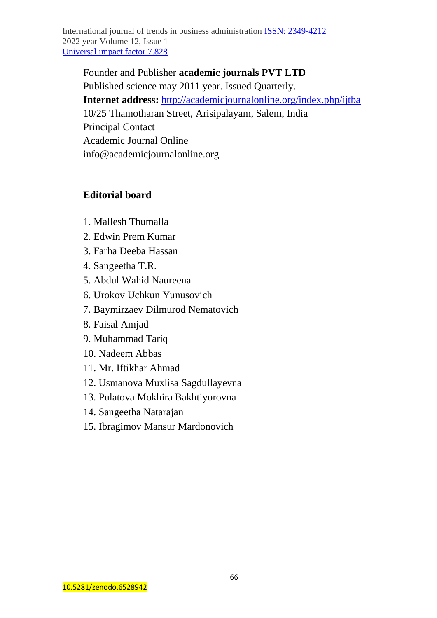International journal of trends in business administration ISSN: [2349-4212](https://portal.issn.org/resource/ISSN/2349-4212) 2022 year Volume 12, Issue 1 [Universal impact factor 7.828](http://universalimpactfactor.com/wp-content/uploads/2021/03/International_journal_of_trends_in_business_administration_management.jpg)

Founder and Publisher **academic journals PVT LTD**  Published science may 2011 year. Issued Quarterly. **Internet address:** <http://academicjournalonline.org/index.php/ijtba> 10/25 Thamotharan Street, Arisipalayam, Salem, India Principal Contact Academic Journal Online [info@academicjournalonline.org](mailto:info@academicjournalonline.org)

## **Editorial board**

- 1. Mallesh Thumalla
- 2. Edwin Prem Kumar
- 3. Farha Deeba Hassan
- 4. Sangeetha T.R.
- 5. Abdul Wahid Naureena
- 6. Urokov Uchkun Yunusovich
- 7. Baymirzaev Dilmurod Nematovich
- 8. Faisal Amjad
- 9. Muhammad Tariq
- 10. Nadeem Abbas
- 11. Mr. Iftikhar Ahmad
- 12. Usmanova Muxlisa Sagdullayevna
- 13. Pulatova Mokhira Bakhtiyorovna
- 14. Sangeetha Natarajan
- 15. Ibragimov Mansur Mardonovich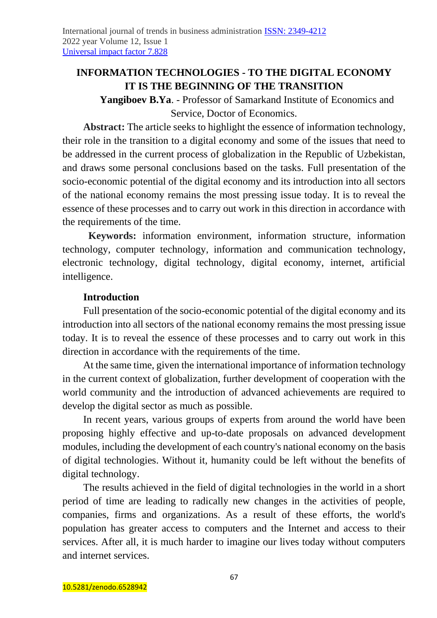# **INFORMATION TECHNOLOGIES - TO THE DIGITAL ECONOMY IT IS THE BEGINNING OF THE TRANSITION**

**Yangiboev B.Ya**. - Professor of Samarkand Institute of Economics and Service, Doctor of Economics.

**Abstract:** The article seeks to highlight the essence of information technology, their role in the transition to a digital economy and some of the issues that need to be addressed in the current process of globalization in the Republic of Uzbekistan, and draws some personal conclusions based on the tasks. Full presentation of the socio-economic potential of the digital economy and its introduction into all sectors of the national economy remains the most pressing issue today. It is to reveal the essence of these processes and to carry out work in this direction in accordance with the requirements of the time.

**Keywords:** information environment, information structure, information technology, computer technology, information and communication technology, electronic technology, digital technology, digital economy, internet, artificial intelligence.

#### **Introduction**

Full presentation of the socio-economic potential of the digital economy and its introduction into all sectors of the national economy remains the most pressing issue today. It is to reveal the essence of these processes and to carry out work in this direction in accordance with the requirements of the time.

At the same time, given the international importance of information technology in the current context of globalization, further development of cooperation with the world community and the introduction of advanced achievements are required to develop the digital sector as much as possible.

In recent years, various groups of experts from around the world have been proposing highly effective and up-to-date proposals on advanced development modules, including the development of each country's national economy on the basis of digital technologies. Without it, humanity could be left without the benefits of digital technology.

The results achieved in the field of digital technologies in the world in a short period of time are leading to radically new changes in the activities of people, companies, firms and organizations. As a result of these efforts, the world's population has greater access to computers and the Internet and access to their services. After all, it is much harder to imagine our lives today without computers and internet services.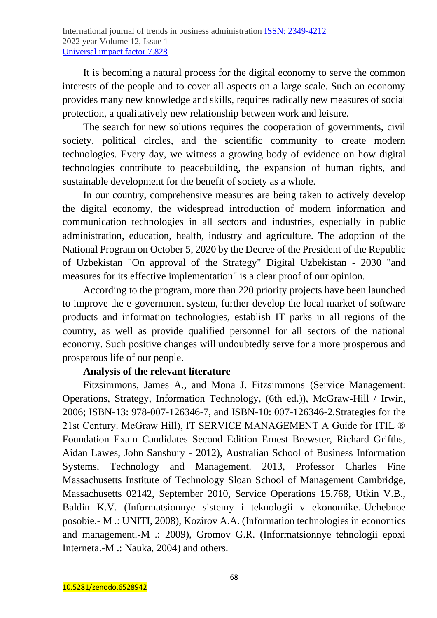It is becoming a natural process for the digital economy to serve the common interests of the people and to cover all aspects on a large scale. Such an economy provides many new knowledge and skills, requires radically new measures of social protection, a qualitatively new relationship between work and leisure.

The search for new solutions requires the cooperation of governments, civil society, political circles, and the scientific community to create modern technologies. Every day, we witness a growing body of evidence on how digital technologies contribute to peacebuilding, the expansion of human rights, and sustainable development for the benefit of society as a whole.

In our country, comprehensive measures are being taken to actively develop the digital economy, the widespread introduction of modern information and communication technologies in all sectors and industries, especially in public administration, education, health, industry and agriculture. The adoption of the National Program on October 5, 2020 by the Decree of the President of the Republic of Uzbekistan "On approval of the Strategy" Digital Uzbekistan - 2030 "and measures for its effective implementation" is a clear proof of our opinion.

According to the program, more than 220 priority projects have been launched to improve the e-government system, further develop the local market of software products and information technologies, establish IT parks in all regions of the country, as well as provide qualified personnel for all sectors of the national economy. Such positive changes will undoubtedly serve for a more prosperous and prosperous life of our people.

# **Analysis of the relevant literature**

Fitzsimmons, James A., and Mona J. Fitzsimmons (Service Management: Operations, Strategy, Information Technology, (6th ed.)), McGraw-Hill / Irwin, 2006; ISBN-13: 978-007-126346-7, and ISBN-10: 007-126346-2.Strategies for the 21st Century. McGraw Hill), IT SERVICE MANAGEMENT A Guide for ITIL ® Foundation Exam Candidates Second Edition Ernest Brewster, Richard Grifths, Aidan Lawes, John Sansbury - 2012), Australian School of Business Information Systems, Technology and Management. 2013, Professor Charles Fine Massachusetts Institute of Technology Sloan School of Management Cambridge, Massachusetts 02142, September 2010, Service Operations 15.768, Utkin V.B., Baldin K.V. (Informatsionnye sistemy i teknologii v ekonomike.-Uchebnoe posobie.- M .: UNITI, 2008), Kozirov A.A. (Information technologies in economics and management.-M .: 2009), Gromov G.R. (Informatsionnye tehnologii epoxi Interneta.-M .: Nauka, 2004) and others.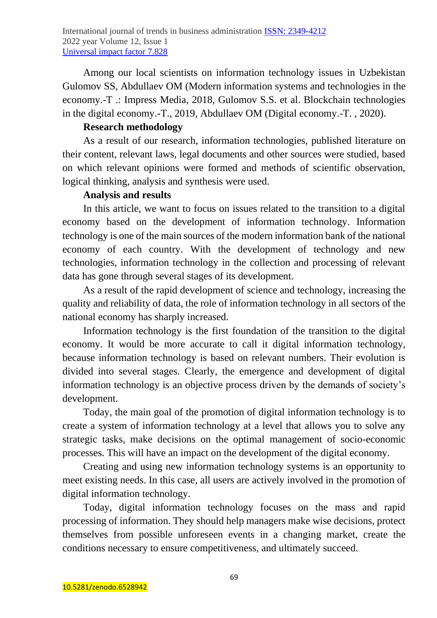Among our local scientists on information technology issues in Uzbekistan Gulomov SS, Abdullaev OM (Modern information systems and technologies in the economy.-T .: Impress Media, 2018, Gulomov S.S. et al. Blockchain technologies in the digital economy.-T., 2019, Abdullaev OM (Digital economy.-T. , 2020).

#### **Research methodology**

As a result of our research, information technologies, published literature on their content, relevant laws, legal documents and other sources were studied, based on which relevant opinions were formed and methods of scientific observation, logical thinking, analysis and synthesis were used.

## **Analysis and results**

In this article, we want to focus on issues related to the transition to a digital economy based on the development of information technology. Information technology is one of the main sources of the modern information bank of the national economy of each country. With the development of technology and new technologies, information technology in the collection and processing of relevant data has gone through several stages of its development.

As a result of the rapid development of science and technology, increasing the quality and reliability of data, the role of information technology in all sectors of the national economy has sharply increased.

Information technology is the first foundation of the transition to the digital economy. It would be more accurate to call it digital information technology, because information technology is based on relevant numbers. Their evolution is divided into several stages. Clearly, the emergence and development of digital information technology is an objective process driven by the demands of society's development.

Today, the main goal of the promotion of digital information technology is to create a system of information technology at a level that allows you to solve any strategic tasks, make decisions on the optimal management of socio-economic processes. This will have an impact on the development of the digital economy.

Creating and using new information technology systems is an opportunity to meet existing needs. In this case, all users are actively involved in the promotion of digital information technology.

Today, digital information technology focuses on the mass and rapid processing of information. They should help managers make wise decisions, protect themselves from possible unforeseen events in a changing market, create the conditions necessary to ensure competitiveness, and ultimately succeed.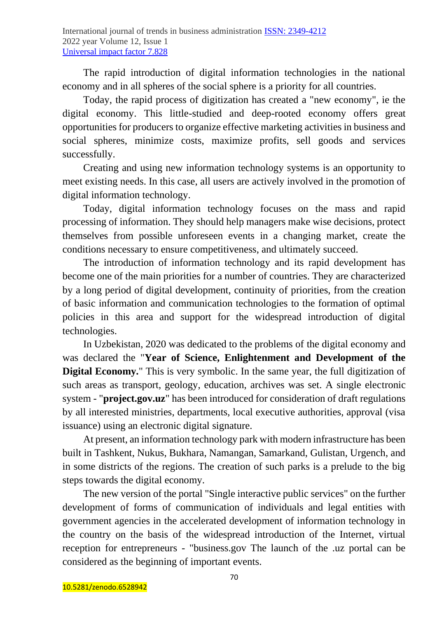The rapid introduction of digital information technologies in the national economy and in all spheres of the social sphere is a priority for all countries.

Today, the rapid process of digitization has created a "new economy", ie the digital economy. This little-studied and deep-rooted economy offers great opportunities for producers to organize effective marketing activities in business and social spheres, minimize costs, maximize profits, sell goods and services successfully.

Creating and using new information technology systems is an opportunity to meet existing needs. In this case, all users are actively involved in the promotion of digital information technology.

Today, digital information technology focuses on the mass and rapid processing of information. They should help managers make wise decisions, protect themselves from possible unforeseen events in a changing market, create the conditions necessary to ensure competitiveness, and ultimately succeed.

The introduction of information technology and its rapid development has become one of the main priorities for a number of countries. They are characterized by a long period of digital development, continuity of priorities, from the creation of basic information and communication technologies to the formation of optimal policies in this area and support for the widespread introduction of digital technologies.

In Uzbekistan, 2020 was dedicated to the problems of the digital economy and was declared the "**Year of Science, Enlightenment and Development of the Digital Economy.**" This is very symbolic. In the same year, the full digitization of such areas as transport, geology, education, archives was set. A single electronic system - "**project.gov.uz**" has been introduced for consideration of draft regulations by all interested ministries, departments, local executive authorities, approval (visa issuance) using an electronic digital signature.

At present, an information technology park with modern infrastructure has been built in Tashkent, Nukus, Bukhara, Namangan, Samarkand, Gulistan, Urgench, and in some districts of the regions. The creation of such parks is a prelude to the big steps towards the digital economy.

The new version of the portal "Single interactive public services" on the further development of forms of communication of individuals and legal entities with government agencies in the accelerated development of information technology in the country on the basis of the widespread introduction of the Internet, virtual reception for entrepreneurs - "business.gov The launch of the .uz portal can be considered as the beginning of important events.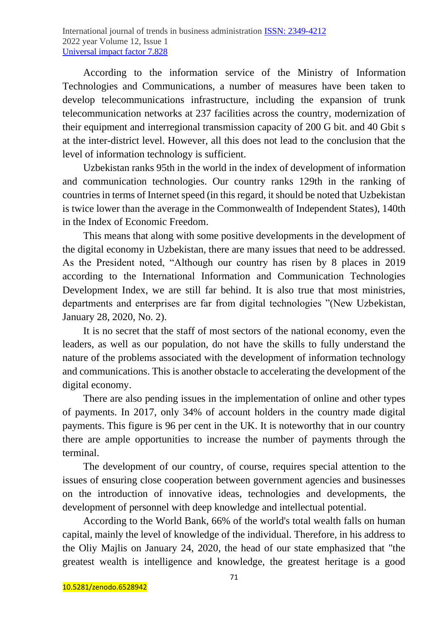According to the information service of the Ministry of Information Technologies and Communications, a number of measures have been taken to develop telecommunications infrastructure, including the expansion of trunk telecommunication networks at 237 facilities across the country, modernization of their equipment and interregional transmission capacity of 200 G bit. and 40 Gbit s at the inter-district level. However, all this does not lead to the conclusion that the level of information technology is sufficient.

Uzbekistan ranks 95th in the world in the index of development of information and communication technologies. Our country ranks 129th in the ranking of countries in terms of Internet speed (in this regard, it should be noted that Uzbekistan is twice lower than the average in the Commonwealth of Independent States), 140th in the Index of Economic Freedom.

This means that along with some positive developments in the development of the digital economy in Uzbekistan, there are many issues that need to be addressed. As the President noted, "Although our country has risen by 8 places in 2019 according to the International Information and Communication Technologies Development Index, we are still far behind. It is also true that most ministries, departments and enterprises are far from digital technologies "(New Uzbekistan, January 28, 2020, No. 2).

It is no secret that the staff of most sectors of the national economy, even the leaders, as well as our population, do not have the skills to fully understand the nature of the problems associated with the development of information technology and communications. This is another obstacle to accelerating the development of the digital economy.

There are also pending issues in the implementation of online and other types of payments. In 2017, only 34% of account holders in the country made digital payments. This figure is 96 per cent in the UK. It is noteworthy that in our country there are ample opportunities to increase the number of payments through the terminal.

The development of our country, of course, requires special attention to the issues of ensuring close cooperation between government agencies and businesses on the introduction of innovative ideas, technologies and developments, the development of personnel with deep knowledge and intellectual potential.

According to the World Bank, 66% of the world's total wealth falls on human capital, mainly the level of knowledge of the individual. Therefore, in his address to the Oliy Majlis on January 24, 2020, the head of our state emphasized that "the greatest wealth is intelligence and knowledge, the greatest heritage is a good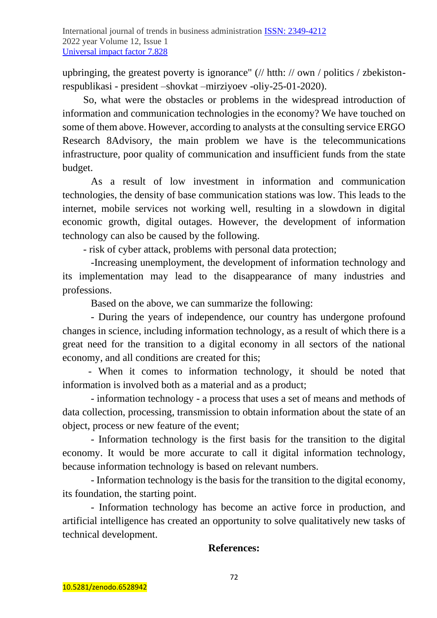upbringing, the greatest poverty is ignorance" (// htth: // own / politics / zbekistonrespublikasi - president –shovkat –mirziyoev -oliy-25-01-2020).

So, what were the obstacles or problems in the widespread introduction of information and communication technologies in the economy? We have touched on some of them above. However, according to analysts at the consulting service ERGO Research 8Advisory, the main problem we have is the telecommunications infrastructure, poor quality of communication and insufficient funds from the state budget.

 As a result of low investment in information and communication technologies, the density of base communication stations was low. This leads to the internet, mobile services not working well, resulting in a slowdown in digital economic growth, digital outages. However, the development of information technology can also be caused by the following.

- risk of cyber attack, problems with personal data protection;

 -Increasing unemployment, the development of information technology and its implementation may lead to the disappearance of many industries and professions.

Based on the above, we can summarize the following:

 - During the years of independence, our country has undergone profound changes in science, including information technology, as a result of which there is a great need for the transition to a digital economy in all sectors of the national economy, and all conditions are created for this;

 - When it comes to information technology, it should be noted that information is involved both as a material and as a product;

 - information technology - a process that uses a set of means and methods of data collection, processing, transmission to obtain information about the state of an object, process or new feature of the event;

 - Information technology is the first basis for the transition to the digital economy. It would be more accurate to call it digital information technology, because information technology is based on relevant numbers.

 - Information technology is the basis for the transition to the digital economy, its foundation, the starting point.

 - Information technology has become an active force in production, and artificial intelligence has created an opportunity to solve qualitatively new tasks of technical development.

# **References:**